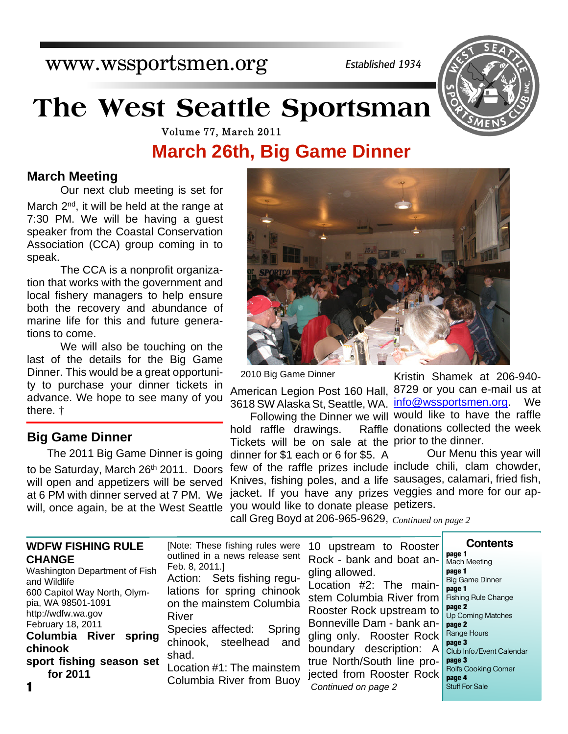www.wssportsmen.org

*Established 1934*

# **The West Seattle Sportsman**



Volume 77, March 2011

## **March 26th, Big Game Dinner**

#### **March Meeting**

Our next club meeting is set for March 2<sup>nd</sup>, it will be held at the range at 7:30 PM. We will be having a guest speaker from the Coastal Conservation Association (CCA) group coming in to speak.

The CCA is a nonprofit organization that works with the government and local fishery managers to help ensure both the recovery and abundance of marine life for this and future generations to come.

We will also be touching on the last of the details for the Big Game Dinner. This would be a great opportunity to purchase your dinner tickets in advance. We hope to see many of you there. †

### **Big Game Dinner**

will, once again, be at the West Seattle you would like to donate please petizers. The 2011 Big Game Dinner is going to be Saturday, March 26th 2011. Doors will open and appetizers will be served at 6 PM with dinner served at 7 PM. We

2010 Big Game Dinner

American Legion Post 160 Hall, 8729 or you can e-mail us at 3618 SW Alaska St, Seattle, WA. <u>info@wssportsmen.org</u>. We

hold raffle drawings. Tickets will be on sale at the prior to the dinner. dinner for \$1 each or 6 for \$5. A few of the raffle prizes include include chili, clam chowder, Knives, fishing poles, and a life sausages, calamari, fried fish, jacket. If you have any prizes veggies and more for our ap-

Following the Dinner we will would like to have the raffle Kristin Shamek at 206-940- Raffle donations collected the week

Our Menu this year will

call Greg Boyd at 206-965-9629, *Continued on page 2*

| <b>WDFW FISHING RULE</b><br><b>CHANGE</b><br>Washington Department of Fish<br>and Wildlife<br>600 Capitol Way North, Olym-<br>pia, WA 98501-1091<br>http://wdfw.wa.gov<br>February 18, 2011<br><b>Columbia River</b><br>spring<br>chinook<br>sport fishing season set<br>for 2011<br>1 | [Note: These fishing rules were<br>outlined in a news release sent<br>Feb. 8, 2011.<br>Action: Sets fishing regu-<br>lations for spring chinook<br>on the mainstem Columbia<br>River<br>Species affected:<br>Spring<br>chinook, steelhead and<br>shad.<br>Location #1: The mainstem<br>Columbia River from Buoy | 10 upstream to Rooster<br>Rock - bank and boat an-<br>gling allowed.<br>Location #2: The main-<br>stem Columbia River from<br>Rooster Rock upstream to<br>Bonneville Dam - bank an-<br>gling only. Rooster Rock<br>boundary description: A<br>true North/South line pro-<br>jected from Rooster Rock<br>Continued on page 2 | <b>Contents</b><br>page 1<br><b>Mach Meeting</b><br>page 1<br><b>Big Game Dinner</b><br>page 1<br>Fishing Rule Change<br>page 2<br>Up Coming Matches<br>page 2<br>Range Hours<br>page 3<br>Club Info./Event Calendar<br>page 3<br><b>Rolfs Cooking Corner</b><br>page 4<br><b>Stuff For Sale</b> |
|----------------------------------------------------------------------------------------------------------------------------------------------------------------------------------------------------------------------------------------------------------------------------------------|-----------------------------------------------------------------------------------------------------------------------------------------------------------------------------------------------------------------------------------------------------------------------------------------------------------------|-----------------------------------------------------------------------------------------------------------------------------------------------------------------------------------------------------------------------------------------------------------------------------------------------------------------------------|--------------------------------------------------------------------------------------------------------------------------------------------------------------------------------------------------------------------------------------------------------------------------------------------------|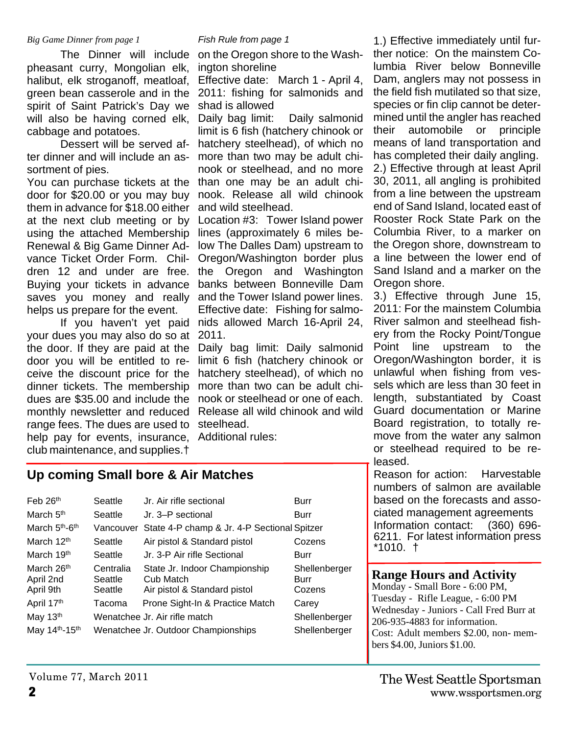#### *Big Game Dinner from page 1*

pheasant curry, Mongolian elk, halibut, elk stroganoff, meatloaf, green bean casserole and in the spirit of Saint Patrick's Day we will also be having corned elk, cabbage and potatoes.

 Dessert will be served after dinner and will include an assortment of pies.

You can purchase tickets at the door for \$20.00 or you may buy them in advance for \$18.00 either at the next club meeting or by using the attached Membership Renewal & Big Game Dinner Advance Ticket Order Form. Children 12 and under are free. Buying your tickets in advance saves you money and really helps us prepare for the event.

 If you haven't yet paid your dues you may also do so at 2011. the door. If they are paid at the door you will be entitled to receive the discount price for the dinner tickets. The membership dues are \$35.00 and include the monthly newsletter and reduced range fees. The dues are used to steelhead. help pay for events, insurance, club maintenance, and supplies.†

**Up coming Small bore & Air Matches**

#### *Fish Rule from page 1*

 The Dinner will include on the Oregon shore to the Washington shoreline

> Effective date: March 1 - April 4, 2011: fishing for salmonids and shad is allowed

Daily bag limit: Daily salmonid limit is 6 fish (hatchery chinook or hatchery steelhead), of which no more than two may be adult chinook or steelhead, and no more than one may be an adult chinook. Release all wild chinook and wild steelhead.

Location #3: Tower Island power lines (approximately 6 miles below The Dalles Dam) upstream to Oregon/Washington border plus the Oregon and Washington banks between Bonneville Dam and the Tower Island power lines. Effective date: Fishing for salmonids allowed March 16-April 24,

Daily bag limit: Daily salmonid limit 6 fish (hatchery chinook or hatchery steelhead), of which no more than two can be adult chinook or steelhead or one of each. Release all wild chinook and wild

Additional rules:

| Feb 26 <sup>th</sup>                             | Seattle                         | Jr. Air rifle sectional                                                    | Burr                            |
|--------------------------------------------------|---------------------------------|----------------------------------------------------------------------------|---------------------------------|
| March 5 <sup>th</sup>                            | Seattle                         | Jr. 3–P sectional                                                          | <b>Burr</b>                     |
| March 5 <sup>th</sup> -6 <sup>th</sup>           |                                 | Vancouver State 4-P champ & Jr. 4-P Sectional Spitzer                      |                                 |
| March 12 <sup>th</sup>                           | Seattle                         | Air pistol & Standard pistol                                               | Cozens                          |
| March 19 <sup>th</sup>                           | Seattle                         | Jr. 3-P Air rifle Sectional                                                | Burr                            |
| March 26 <sup>th</sup><br>April 2nd<br>April 9th | Centralia<br>Seattle<br>Seattle | State Jr. Indoor Championship<br>Cub Match<br>Air pistol & Standard pistol | Shellenberger<br>Burr<br>Cozens |
| April 17 <sup>th</sup>                           | Tacoma                          | Prone Sight-In & Practice Match                                            | Carey                           |
| May 13 <sup>th</sup>                             |                                 | Wenatchee Jr. Air rifle match                                              | Shellenberger                   |
| May 14 <sup>th</sup> -15 <sup>th</sup>           |                                 | Wenatchee Jr. Outdoor Championships                                        | Shellenberger                   |

1.) Effective immediately until further notice: On the mainstem Columbia River below Bonneville Dam, anglers may not possess in the field fish mutilated so that size, species or fin clip cannot be determined until the angler has reached their automobile or principle means of land transportation and has completed their daily angling.

2.) Effective through at least April 30, 2011, all angling is prohibited from a line between the upstream end of Sand Island, located east of Rooster Rock State Park on the Columbia River, to a marker on the Oregon shore, downstream to a line between the lower end of Sand Island and a marker on the Oregon shore.

3.) Effective through June 15, 2011: For the mainstem Columbia River salmon and steelhead fishery from the Rocky Point/Tongue Point line upstream to the Oregon/Washington border, it is unlawful when fishing from vessels which are less than 30 feet in length, substantiated by Coast Guard documentation or Marine Board registration, to totally remove from the water any salmon or steelhead required to be released.

Reason for action: Harvestable numbers of salmon are available based on the forecasts and associated management agreements Information contact: (360) 696- 6211. For latest information press \*1010. †

#### **Range Hours and Activity**

Monday - Small Bore - 6:00 PM, Tuesday - Rifle League, - 6:00 PM Wednesday - Juniors - Call Fred Burr at 206-935-4883 for information. Cost: Adult members \$2.00, non- members \$4.00, Juniors \$1.00.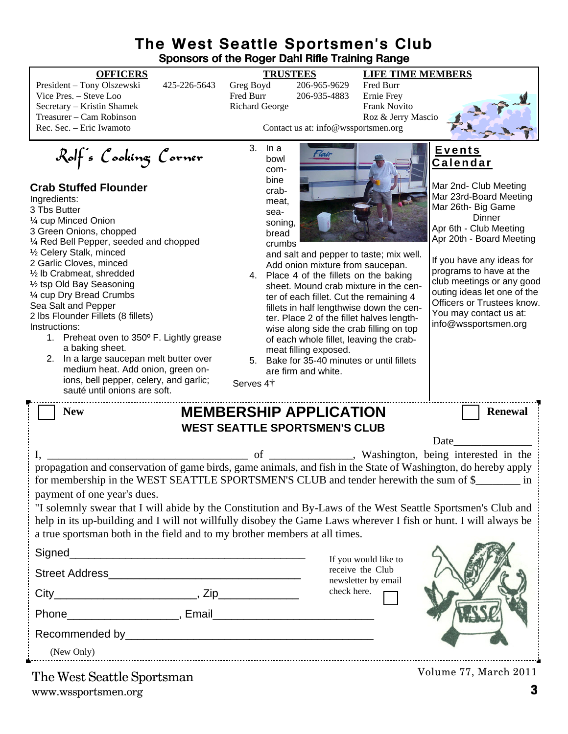### **The West Seattle Sportsmen's Club Sponsors of the Roger Dahl Rifle Training Range**

#### **OFFICERS TRUSTEES LIFE TIME MEMBERS**

President – Tony Olszewski 425-226-5643 Greg Boyd 206-965-9629 Fred Burr Vice Pres. – Steve Loo Fred Burr 206-935-4883 Secretary – Kristin Shamek Richard George Frank Novito Treasurer – Cam Robinson Roz & Jerry Mascio

# Rolf's Cooking Corner

#### **Crab Stuffed Flounder**

Mar 23rd-Board Meeting Ingredients: meat, Mar 26th- Big Game 3 Tbs Butter sea-**Dinner** ¼ cup Minced Onion soning, Apr 6th - Club Meeting 3 Green Onions, chopped bread Apr 20th - Board Meeting ¼ Red Bell Pepper, seeded and chopped crumbs ½ Celery Stalk, minced and salt and pepper to taste; mix well. If you have any ideas for 2 Garlic Cloves, minced Add onion mixture from saucepan. programs to have at the ½ lb Crabmeat, shredded 4. Place 4 of the fillets on the baking club meetings or any good ½ tsp Old Bay Seasoning sheet. Mound crab mixture in the cenouting ideas let one of the ¼ cup Dry Bread Crumbs ter of each fillet. Cut the remaining 4 Officers or Trustees know. Sea Salt and Pepper fillets in half lengthwise down the cen-You may contact us at: 2 lbs Flounder Fillets (8 fillets) ter. Place 2 of the fillet halves lengthinfo@wssportsmen.orgInstructions: wise along side the crab filling on top 1. Preheat oven to 350º F. Lightly grease of each whole fillet, leaving the craba baking sheet. meat filling exposed. 2. In a large saucepan melt butter over 5. Bake for 35-40 minutes or until fillets medium heat. Add onion, green onare firm and white. ions, bell pepper, celery, and garlic; Serves 4† sauté until onions are soft. New **MEMBERSHIP APPLICATION** Renewal **WEST SEATTLE SPORTSMEN'S CLUB** Date I, \_\_\_\_\_\_\_\_\_\_\_\_\_\_\_\_\_\_\_\_\_\_\_\_\_\_\_\_\_\_\_\_\_\_\_\_ of \_\_\_\_\_\_\_\_\_\_\_\_\_\_\_, Washington, being interested in the propagation and conservation of game birds, game animals, and fish in the State of Washington, do hereby apply for membership in the WEST SEATTLE SPORTSMEN'S CLUB and tender herewith the sum of \$ \_\_\_\_\_ in payment of one year's dues.

"I solemnly swear that I will abide by the Constitution and By-Laws of the West Seattle Sportsmen's Club and help in its up-building and I will not willfully disobey the Game Laws wherever I fish or hunt. I will always be a true sportsman both in the field and to my brother members at all times.

|                            | If you would like to                                                                                           |                       |
|----------------------------|----------------------------------------------------------------------------------------------------------------|-----------------------|
| <b>Street Address</b>      | receive the Club<br>newsletter by email                                                                        |                       |
|                            | check here.                                                                                                    |                       |
|                            | Email 2008 - 2008 - 2014 - 2015 - 2016 - 2017 - 2018 - 2018 - 2018 - 2019 - 2019 - 2019 - 2019 - 2019 - 2019 - |                       |
|                            |                                                                                                                |                       |
| (New Only)                 |                                                                                                                |                       |
| The West Soattle Sportsman |                                                                                                                | Volume 77, March 2011 |

www.wssportsmen.org **3** The West Seattle Sportsman



Mar 2nd- Club Meeting

**E v e n t s C a l e n d a r**

Contact us at: info@wssportsmen.org

3. In a bowl combine

crab-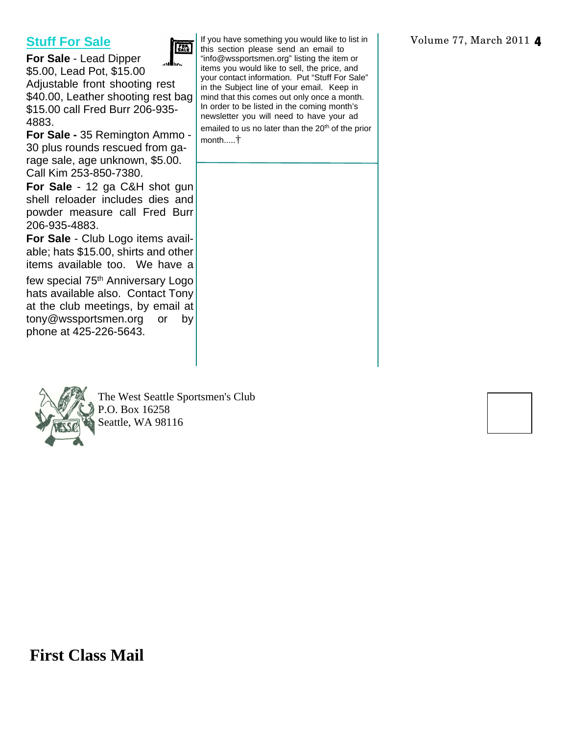## **Stuff For Sale**



**For Sale** - Lead Dipper \$5.00, Lead Pot, \$15.00 Adjustable front shooting rest \$40.00, Leather shooting rest bag \$15.00 call Fred Burr 206-935- 4883.

**For Sale -** 35 Remington Ammo - 30 plus rounds rescued from garage sale, age unknown, \$5.00. Call Kim 253-850-7380.

**For Sale** - 12 ga C&H shot gun shell reloader includes dies and powder measure call Fred Burr 206-935-4883.

**For Sale** - Club Logo items available; hats \$15.00, shirts and other items available too. We have a

few special 75<sup>th</sup> Anniversary Logo hats available also. Contact Tony at the club meetings, by email at tony@wssportsmen.org or by phone at 425-226-5643.



The West Seattle Sportsmen's Club P.O. Box 16258 Seattle, WA 98116

If you have something you would like to list in this section please send an email to "info@wssportsmen.org" listing the item or items you would like to sell, the price, and your contact information. Put "Stuff For Sale" in the Subject line of your email. Keep in mind that this comes out only once a month. In order to be listed in the coming month's newsletter you will need to have your ad emailed to us no later than the 20<sup>th</sup> of the prior month.....†

**First Class Mail**